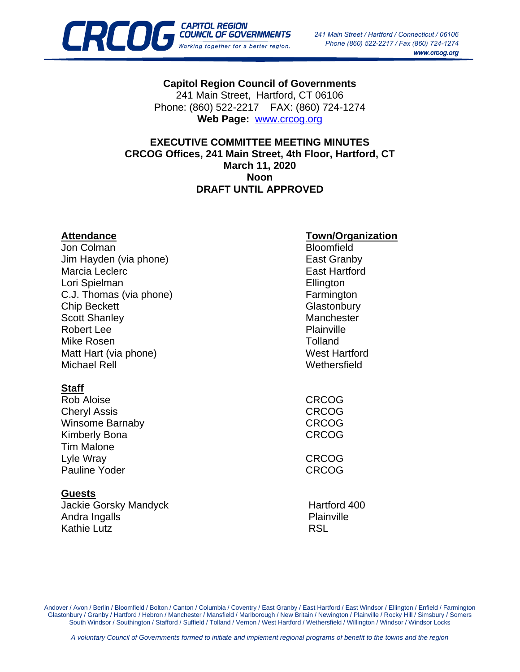

**Capitol Region Council of Governments** 241 Main Street, Hartford, CT 06106 Phone: (860) 522-2217 FAX: (860) 724-1274 **Web Page:** [www.crcog.org](http://www.crcog.org/)

#### **EXECUTIVE COMMITTEE MEETING MINUTES CRCOG Offices, 241 Main Street, 4th Floor, Hartford, CT March 11, 2020 Noon DRAFT UNTIL APPROVED**

Jon Colman Bloomfield Jim Hayden (via phone) East Granby Marcia Leclerc **East Hartford** Lori Spielman **Ellington** C.J. Thomas (via phone) Farmington Chip Beckett Glastonbury Scott Shanley Manchester Robert Lee **Plainville** Mike Rosen **Tolland** Matt Hart (via phone) Matt Hartford Michael Rell Wethersfield

### **Staff**

| Rob Aloise             | <b>CRCOG</b> |
|------------------------|--------------|
| <b>Cheryl Assis</b>    | <b>CRCOG</b> |
| <b>Winsome Barnaby</b> | <b>CRCOG</b> |
| <b>Kimberly Bona</b>   | <b>CRCOG</b> |
| <b>Tim Malone</b>      |              |
| Lyle Wray              | <b>CRCOG</b> |
| Pauline Yoder          | <b>CRCOG</b> |
|                        |              |

### **Guests**

Jackie Gorsky Mandyck **Hartford 400** Andra Ingalls **Plainville** Kathie Lutz **RSL** 

# **Attendance Town/Organization**

Andover / Avon / Berlin / Bloomfield / Bolton / Canton / Columbia / Coventry / East Granby / East Hartford / East Windsor / Ellington / Enfield / Farmington Glastonbury / Granby / Hartford / Hebron / Manchester / Mansfield / Marlborough / New Britain / Newington / Plainville / Rocky Hill / Simsbury / Somers South Windsor / Southington / Stafford / Suffield / Tolland / Vernon / West Hartford / Wethersfield / Willington / Windsor / Windsor Locks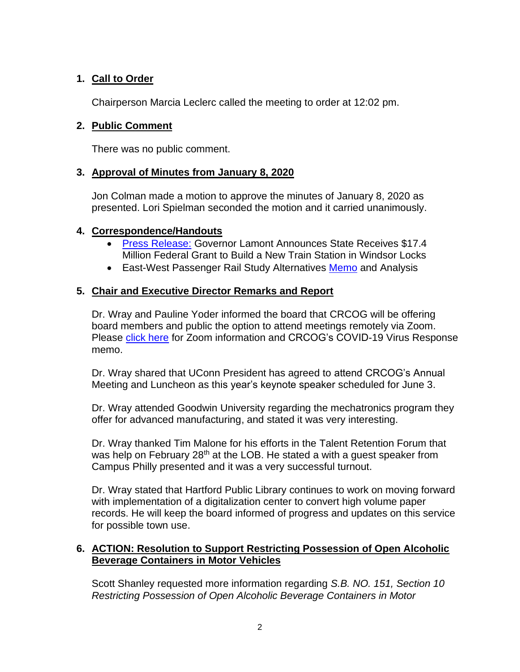# **1. Call to Order**

Chairperson Marcia Leclerc called the meeting to order at 12:02 pm.

## **2. Public Comment**

There was no public comment.

## **3. Approval of Minutes from January 8, 2020**

Jon Colman made a motion to approve the minutes of January 8, 2020 as presented. Lori Spielman seconded the motion and it carried unanimously.

## **4. Correspondence/Handouts**

- [Press Release:](https://crcog.org/wp-content/uploads/2019/12/Press-Releases.pdf) Governor Lamont Announces State Receives \$17.4 Million Federal Grant to Build a New Train Station in Windsor Locks
- East-West Passenger Rail Study Alternatives [Memo](https://crcog.org/wp-content/uploads/2019/12/EW-Rail-Analysis-HEC-memo-v1-022120.pdf) and Analysis

# **5. Chair and Executive Director Remarks and Report**

Dr. Wray and Pauline Yoder informed the board that CRCOG will be offering board members and public the option to attend meetings remotely via Zoom. Please [click here](file:///C:/Users/kbona/Desktop/CRCOG%20Zoom%20and%20Covid.pdf) for Zoom information and CRCOG's COVID-19 Virus Response memo.

Dr. Wray shared that UConn President has agreed to attend CRCOG's Annual Meeting and Luncheon as this year's keynote speaker scheduled for June 3.

Dr. Wray attended Goodwin University regarding the mechatronics program they offer for advanced manufacturing, and stated it was very interesting.

Dr. Wray thanked Tim Malone for his efforts in the Talent Retention Forum that was help on February 28<sup>th</sup> at the LOB. He stated a with a quest speaker from Campus Philly presented and it was a very successful turnout.

Dr. Wray stated that Hartford Public Library continues to work on moving forward with implementation of a digitalization center to convert high volume paper records. He will keep the board informed of progress and updates on this service for possible town use.

## **6. ACTION: Resolution to Support Restricting Possession of Open Alcoholic Beverage Containers in Motor Vehicles**

Scott Shanley requested more information regarding *S.B. NO. 151, Section 10 Restricting Possession of Open Alcoholic Beverage Containers in Motor*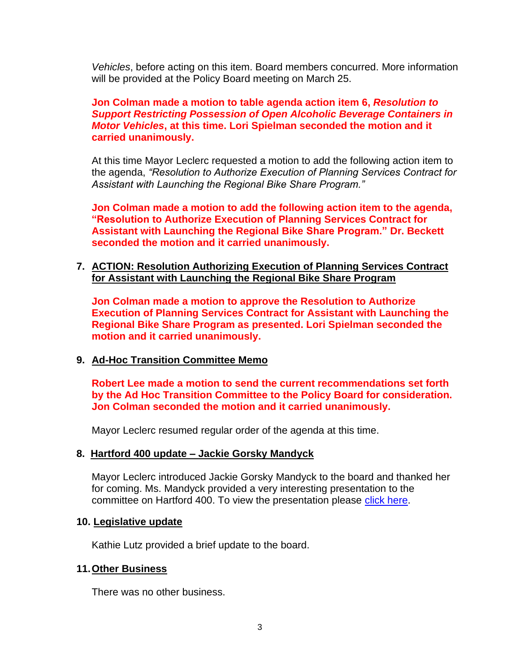*Vehicles*, before acting on this item. Board members concurred. More information will be provided at the Policy Board meeting on March 25.

### **Jon Colman made a motion to table agenda action item 6,** *Resolution to Support Restricting Possession of Open Alcoholic Beverage Containers in Motor Vehicles***, at this time. Lori Spielman seconded the motion and it carried unanimously.**

At this time Mayor Leclerc requested a motion to add the following action item to the agenda, *"Resolution to Authorize Execution of Planning Services Contract for Assistant with Launching the Regional Bike Share Program."*

**Jon Colman made a motion to add the following action item to the agenda, "Resolution to Authorize Execution of Planning Services Contract for Assistant with Launching the Regional Bike Share Program." Dr. Beckett seconded the motion and it carried unanimously.** 

**7. ACTION: Resolution Authorizing Execution of Planning Services Contract for Assistant with Launching the Regional Bike Share Program**

**Jon Colman made a motion to approve the Resolution to Authorize Execution of Planning Services Contract for Assistant with Launching the Regional Bike Share Program as presented. Lori Spielman seconded the motion and it carried unanimously.** 

### **9. Ad-Hoc Transition Committee Memo**

**Robert Lee made a motion to send the current recommendations set forth by the Ad Hoc Transition Committee to the Policy Board for consideration. Jon Colman seconded the motion and it carried unanimously.**

Mayor Leclerc resumed regular order of the agenda at this time.

### **8. Hartford 400 update – Jackie Gorsky Mandyck**

Mayor Leclerc introduced Jackie Gorsky Mandyck to the board and thanked her for coming. Ms. Mandyck provided a very interesting presentation to the committee on Hartford 400. To view the presentation please [click here.](file:///C:/Users/kbona/Desktop/HARTFORD%20400%20CRCOG.pdf)

#### **10. Legislative update**

Kathie Lutz provided a brief update to the board.

#### **11.Other Business**

There was no other business.